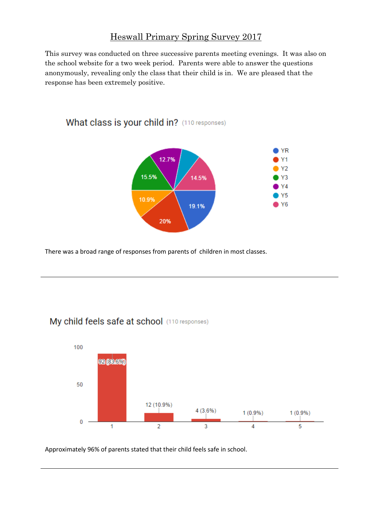## Heswall Primary Spring Survey 2017

This survey was conducted on three successive parents meeting evenings. It was also on the school website for a two week period. Parents were able to answer the questions anonymously, revealing only the class that their child is in. We are pleased that the response has been extremely positive.



There was a broad range of responses from parents of children in most classes.

What class is your child in? (110 responses)



## My child feels safe at school (110 responses)

Approximately 96% of parents stated that their child feels safe in school.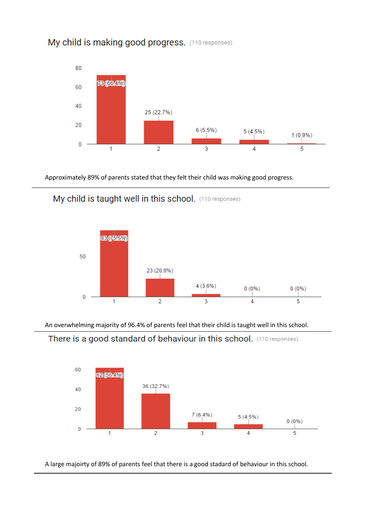



Approximately 89% of parents stated that they felt their child was making good progress.



My child is taught well in this school. (110 responses)

An overwhelming majority of 96.4% of parents feel that their child is taught well in this school.





A large majoirty of 89% of parents feel that there is a good stadard of behaviour in this school.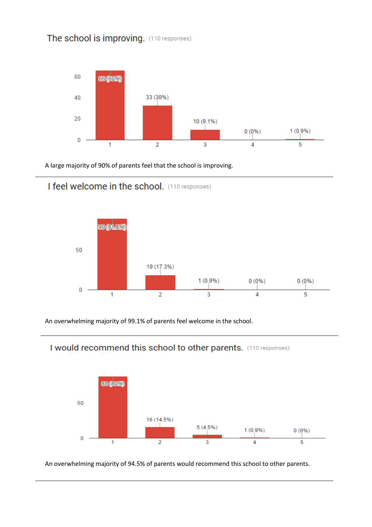## The school is improving. (110 responses)



A large majority of 90% of parents feel that the school is improving.



#### I feel welcome in the school. (110 responses)

An overwhelming majority of 99.1% of parents feel welcome in the school.



## I would recommend this school to other parents. (110 responses)

An overwhelming majority of 94.5% of parents would recommend this school to other parents.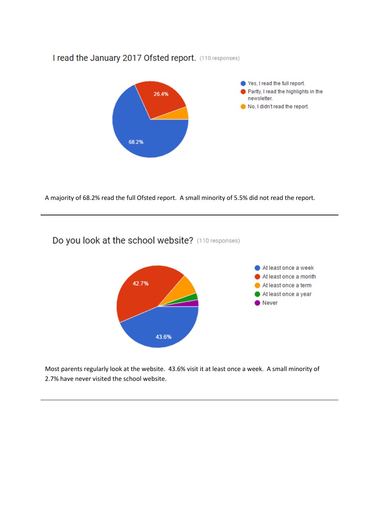#### I read the January 2017 Ofsted report. (110 responses)



A majority of 68.2% read the full Ofsted report. A small minority of 5.5% did not read the report.

# Do you look at the school website? (110 responses)



Most parents regularly look at the website. 43.6% visit it at least once a week. A small minority of 2.7% have never visited the school website.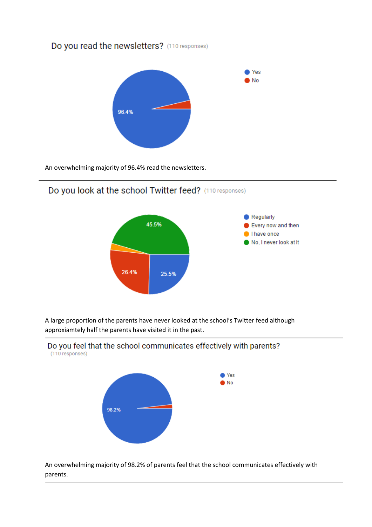## Do you read the newsletters? (110 responses)



An overwhelming majority of 96.4% read the newsletters.

## Do you look at the school Twitter feed? (110 responses)



A large proportion of the parents have never looked at the school's Twitter feed although approxiamtely half the parents have visited it in the past.



An overwhelming majority of 98.2% of parents feel that the school communicates effectively with parents.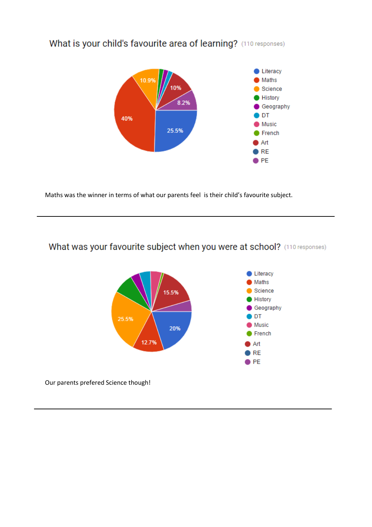

## What is your child's favourite area of learning? (110 responses)

Maths was the winner in terms of what our parents feel is their child's favourite subject.

# What was your favourite subject when you were at school? (110 responses)

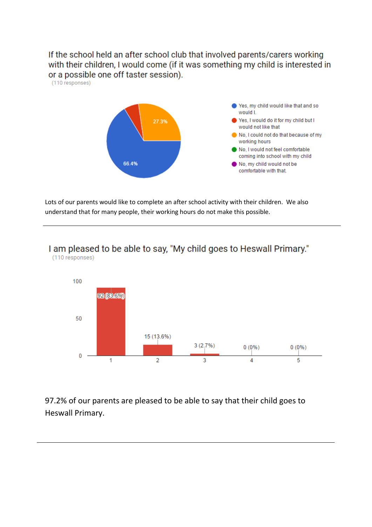If the school held an after school club that involved parents/carers working with their children, I would come (if it was something my child is interested in or a possible one off taster session). (110 responses)



Lots of our parents would like to complete an after school activity with their children. We also understand that for many people, their working hours do not make this possible.



97.2% of our parents are pleased to be able to say that their child goes to Heswall Primary.